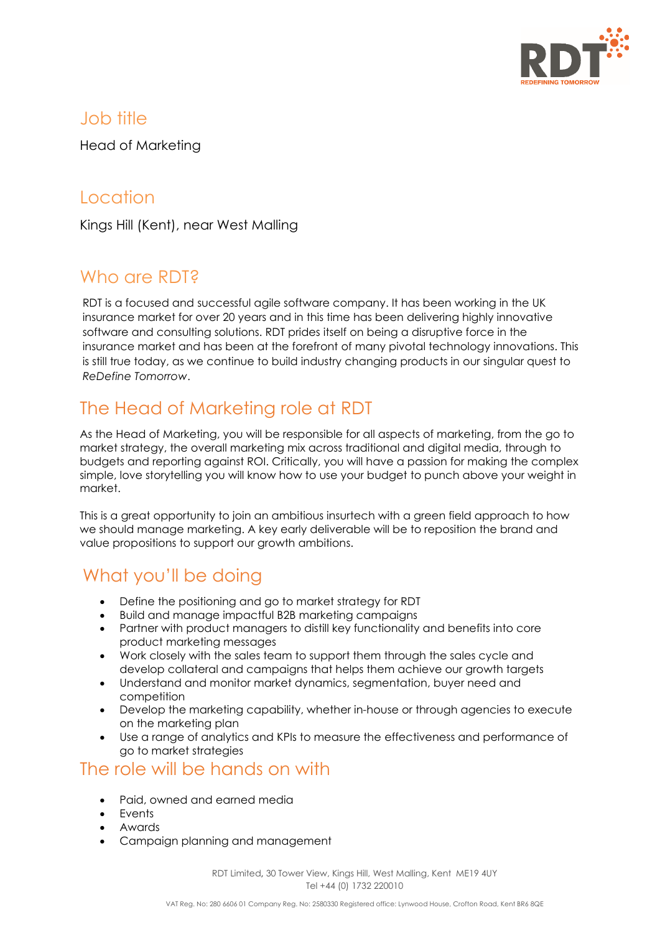

### Job title

Head of Marketing

## Location

Kings Hill (Kent), near West Malling

## Who are RDT<sub>2</sub>

RDT is a focused and successful agile software company. It has been working in the UK insurance market for over 20 years and in this time has been delivering highly innovative software and consulting solutions. RDT prides itself on being a disruptive force in the insurance market and has been at the forefront of many pivotal technology innovations. This is still true today, as we continue to build industry changing products in our singular quest to *ReDefine Tomorrow*.

# The Head of Marketing role at RDT

As the Head of Marketing, you will be responsible for all aspects of marketing, from the go to market strategy, the overall marketing mix across traditional and digital media, through to budgets and reporting against ROI. Critically, you will have a passion for making the complex simple, love storytelling you will know how to use your budget to punch above your weight in market.

This is a great opportunity to join an ambitious insurtech with a green field approach to how we should manage marketing. A key early deliverable will be to reposition the brand and value propositions to support our growth ambitions.

# What you'll be doing

- Define the positioning and go to market strategy for RDT
- Build and manage impactful B2B marketing campaigns
- Partner with product managers to distill key functionality and benefits into core product marketing messages
- Work closely with the sales team to support them through the sales cycle and develop collateral and campaigns that helps them achieve our growth targets
- Understand and monitor market dynamics, segmentation, buyer need and competition
- Develop the marketing capability, whether in-house or through agencies to execute on the marketing plan
- Use a range of analytics and KPIs to measure the effectiveness and performance of go to market strategies

### The role will be hands on with

- Paid, owned and earned media
- Events
- Awards
- Campaign planning and management

RDT Limited**,** 30 Tower View, Kings Hill, West Malling, Kent ME19 4UY Tel +44 (0) 1732 220010